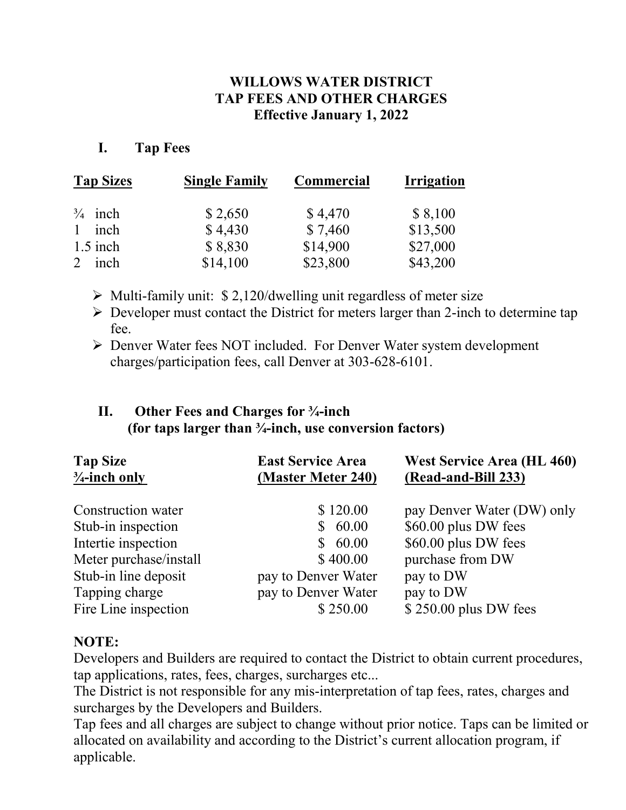### **WILLOWS WATER DISTRICT TAP FEES AND OTHER CHARGES Effective January 1, 2022**

### **I. Tap Fees**

| <b>Tap Sizes</b>   | <b>Single Family</b> | Commercial | <b>Irrigation</b> |
|--------------------|----------------------|------------|-------------------|
| $\frac{3}{4}$ inch | \$2,650              | \$4,470    | \$8,100           |
| 1 inch             | \$4,430              | \$7,460    | \$13,500          |
| $1.5$ inch         | \$8,830              | \$14,900   | \$27,000          |
| inch               | \$14,100             | \$23,800   | \$43,200          |

- $\triangleright$  Multi-family unit: \$ 2,120/dwelling unit regardless of meter size
- $\triangleright$  Developer must contact the District for meters larger than 2-inch to determine tap fee.
- Denver Water fees NOT included. For Denver Water system development charges/participation fees, call Denver at 303-628-6101.

### **II. Other Fees and Charges for ¾-inch (for taps larger than ¾-inch, use conversion factors)**

| <b>Tap Size</b><br>$\frac{3}{4}$ -inch only | <b>East Service Area</b><br>(Master Meter 240) | <b>West Service Area (HL 460)</b><br>(Read-and-Bill 233) |
|---------------------------------------------|------------------------------------------------|----------------------------------------------------------|
| Construction water                          | \$120.00                                       | pay Denver Water (DW) only                               |
| Stub-in inspection                          | 60.00<br>S                                     | \$60.00 plus DW fees                                     |
| Intertie inspection                         | 60.00<br>S.                                    | \$60.00 plus DW fees                                     |
| Meter purchase/install                      | \$400.00                                       | purchase from DW                                         |
| Stub-in line deposit                        | pay to Denver Water                            | pay to DW                                                |
| Tapping charge                              | pay to Denver Water                            | pay to DW                                                |
| Fire Line inspection                        | \$250.00                                       | $$250.00$ plus DW fees                                   |

### **NOTE:**

Developers and Builders are required to contact the District to obtain current procedures, tap applications, rates, fees, charges, surcharges etc...

The District is not responsible for any mis-interpretation of tap fees, rates, charges and surcharges by the Developers and Builders.

Tap fees and all charges are subject to change without prior notice. Taps can be limited or allocated on availability and according to the District's current allocation program, if applicable.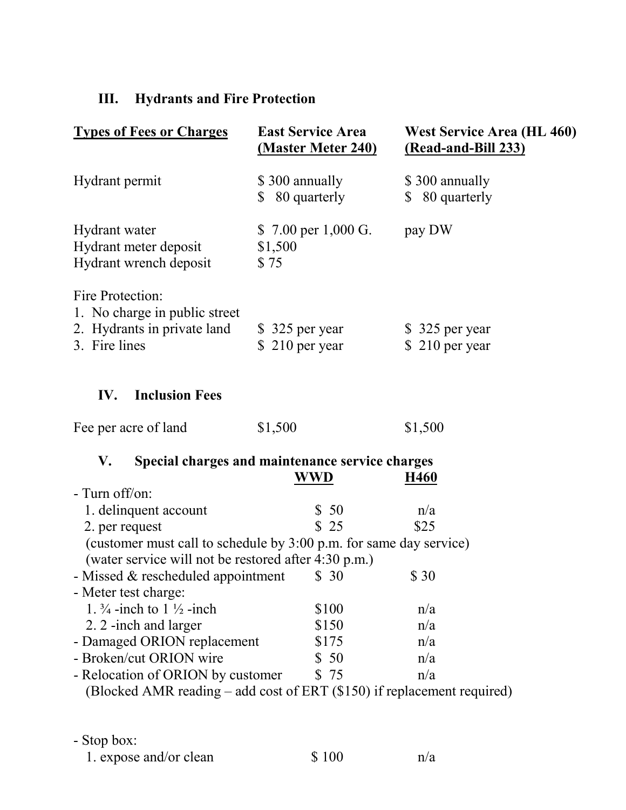# **III. Hydrants and Fire Protection**

| <b>Types of Fees or Charges</b>                                                                   | <b>East Service Area</b><br><u>(Master Meter 240)</u>  | <b>West Service Area (HL 460)</b><br>(Read-and-Bill 233) |
|---------------------------------------------------------------------------------------------------|--------------------------------------------------------|----------------------------------------------------------|
| Hydrant permit                                                                                    | \$300 annually<br>\$ 80 quarterly                      | \$300 annually<br>\$ 80 quarterly                        |
| Hydrant water<br>Hydrant meter deposit<br>Hydrant wrench deposit                                  | \$7.00 per 1,000 G.<br>\$1,500<br>\$75                 | pay DW                                                   |
| Fire Protection:<br>1. No charge in public street<br>2. Hydrants in private land<br>3. Fire lines | \$ 325 per year<br>$$210$ per year                     | \$ 325 per year<br>$$210$ per year                       |
| <b>Inclusion Fees</b><br>IV.                                                                      |                                                        |                                                          |
| Fee per acre of land                                                                              | \$1,500                                                | \$1,500                                                  |
| V.                                                                                                | Special charges and maintenance service charges<br>WWD | H460                                                     |
| - Turn off/on:                                                                                    |                                                        |                                                          |
| 1. delinquent account                                                                             | \$50                                                   | n/a                                                      |
| 2. per request                                                                                    | \$25                                                   | \$25                                                     |
| (customer must call to schedule by 3:00 p.m. for same day service)                                |                                                        |                                                          |
| (water service will not be restored after 4:30 p.m.)                                              |                                                        |                                                          |
| - Missed & rescheduled appointment                                                                | \$30                                                   | \$ 30                                                    |
| - Meter test charge:                                                                              |                                                        |                                                          |
| 1. $\frac{3}{4}$ -inch to 1 $\frac{1}{2}$ -inch                                                   | \$100                                                  | n/a                                                      |
| 2. 2 -inch and larger                                                                             | \$150                                                  | n/a                                                      |
| - Damaged ORION replacement                                                                       | \$175                                                  | n/a                                                      |
| - Broken/cut ORION wire                                                                           | \$50                                                   | n/a                                                      |
| - Relocation of ORION by customer                                                                 | \$75                                                   | n/a                                                      |
| (Blocked AMR reading $-$ add cost of ERT (\$150) if replacement required)                         |                                                        |                                                          |

- Stop box: 1. expose and/or clean  $$ 100$  n/a